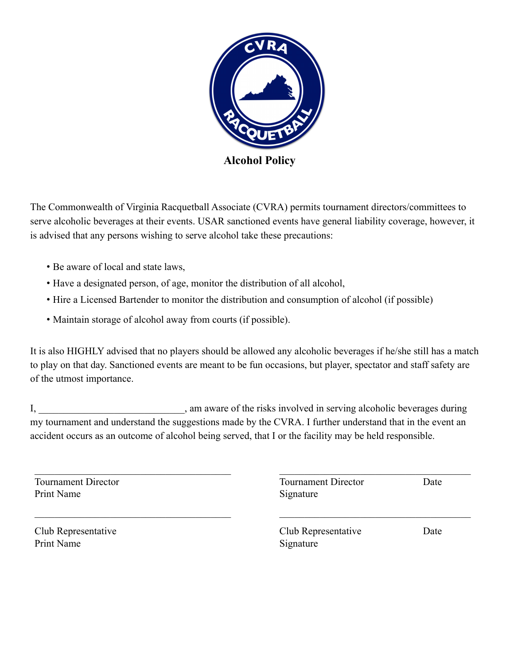

The Commonwealth of Virginia Racquetball Associate (CVRA) permits tournament directors/committees to serve alcoholic beverages at their events. USAR sanctioned events have general liability coverage, however, it is advised that any persons wishing to serve alcohol take these precautions:

- Be aware of local and state laws,
- Have a designated person, of age, monitor the distribution of all alcohol,
- Hire a Licensed Bartender to monitor the distribution and consumption of alcohol (if possible)
- Maintain storage of alcohol away from courts (if possible).

It is also HIGHLY advised that no players should be allowed any alcoholic beverages if he/she still has a match to play on that day. Sanctioned events are meant to be fun occasions, but player, spectator and staff safety are of the utmost importance.

I, am aware of the risks involved in serving alcoholic beverages during my tournament and understand the suggestions made by the CVRA. I further understand that in the event an accident occurs as an outcome of alcohol being served, that I or the facility may be held responsible.

| <b>Tournament Director</b><br>Print Name | <b>Tournament Director</b><br>Signature | Date |
|------------------------------------------|-----------------------------------------|------|
| Club Representative<br>Print Name        | Club Representative<br>Signature        | Date |